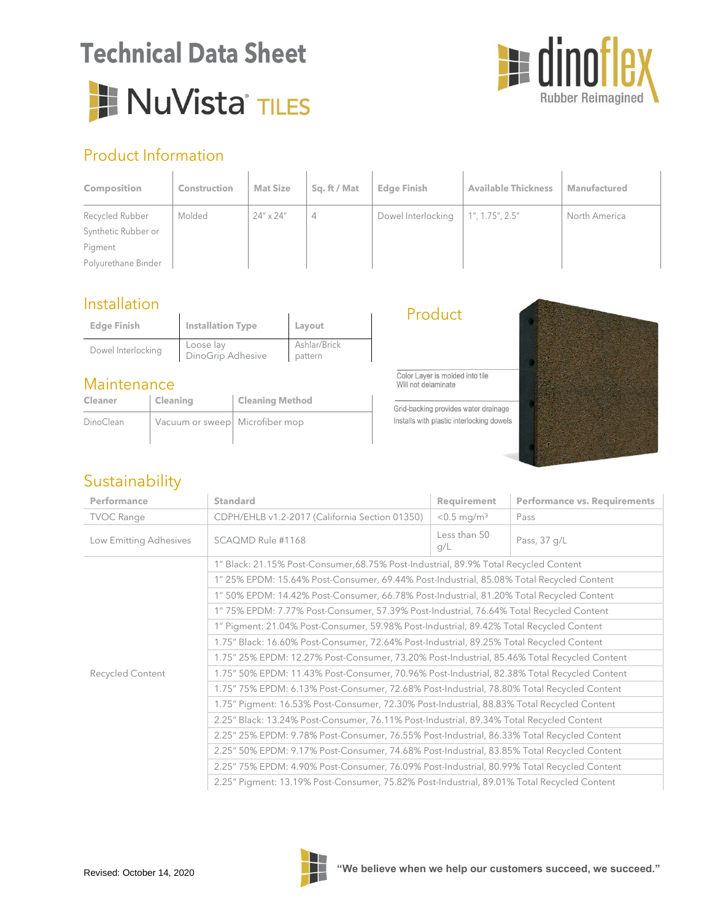# **Technical Data Sheet** I NuVista<sup>®</sup> TILES



## Product Information

| <b>Composition</b>  | <b>Construction</b> | <b>Mat Size</b>    | Sq. ft / Mat | <b>Edge Finish</b> | <b>Available Thickness</b> | <b>Manufactured</b> |
|---------------------|---------------------|--------------------|--------------|--------------------|----------------------------|---------------------|
| Recycled Rubber     | Molded              | $24'' \times 24''$ | 4            | Dowel Interlocking | 1'', 1.75'', 2.5''         | North America       |
| Synthetic Rubber or |                     |                    |              |                    |                            |                     |
| Pigment             |                     |                    |              |                    |                            |                     |
| Polyurethane Binder |                     |                    |              |                    |                            |                     |

#### Installation

| <b>Edge Finish</b> | <b>Installation Type</b>       | Layout                  |
|--------------------|--------------------------------|-------------------------|
| Dowel Interlocking | Loose lay<br>DinoGrip Adhesive | Ashlar/Brick<br>pattern |

#### **Maintenance**

| Cleaner   | Cleaning                       | <b>Cleaning Method</b> |
|-----------|--------------------------------|------------------------|
| DinoClean | Vacuum or sweep Microfiber mop |                        |
|           |                                |                        |

Product

Color Layer is molded into tile Will not delaminate

Grid-backing provides water drainage Installs with plastic interlocking dowels



### Sustainability

| Performance            | <b>Standard</b>                                                                             | <b>Requirement</b>        | <b>Performance vs. Requirements</b> |  |  |
|------------------------|---------------------------------------------------------------------------------------------|---------------------------|-------------------------------------|--|--|
| <b>TVOC Range</b>      | CDPH/EHLB v1.2-2017 (California Section 01350)                                              | $< 0.5$ mg/m <sup>3</sup> | Pass                                |  |  |
| Low Emitting Adhesives | SCAQMD Rule #1168                                                                           | Less than 50<br>g/L       | Pass, 37 g/L                        |  |  |
|                        | 1" Black: 21.15% Post-Consumer,68.75% Post-Industrial, 89.9% Total Recycled Content         |                           |                                     |  |  |
|                        | 1" 25% EPDM: 15.64% Post-Consumer, 69.44% Post-Industrial, 85.08% Total Recycled Content    |                           |                                     |  |  |
|                        | 1" 50% EPDM: 14.42% Post-Consumer, 66.78% Post-Industrial, 81.20% Total Recycled Content    |                           |                                     |  |  |
|                        | 1" 75% EPDM: 7.77% Post-Consumer, 57.39% Post-Industrial, 76.64% Total Recycled Content     |                           |                                     |  |  |
|                        | 1" Pigment: 21.04% Post-Consumer, 59.98% Post-Industrial, 89.42% Total Recycled Content     |                           |                                     |  |  |
|                        | 1.75" Black: 16.60% Post-Consumer, 72.64% Post-Industrial, 89.25% Total Recycled Content    |                           |                                     |  |  |
| Recycled Content       | 1.75" 25% EPDM: 12.27% Post-Consumer, 73.20% Post-Industrial, 85.46% Total Recycled Content |                           |                                     |  |  |
|                        | 1.75" 50% EPDM: 11.43% Post-Consumer, 70.96% Post-Industrial, 82.38% Total Recycled Content |                           |                                     |  |  |
|                        | 1.75" 75% EPDM: 6.13% Post-Consumer, 72.68% Post-Industrial, 78.80% Total Recycled Content  |                           |                                     |  |  |
|                        | 1.75" Pigment: 16.53% Post-Consumer, 72.30% Post-Industrial, 88.83% Total Recycled Content  |                           |                                     |  |  |
|                        | 2.25" Black: 13.24% Post-Consumer, 76.11% Post-Industrial, 89.34% Total Recycled Content    |                           |                                     |  |  |
|                        | 2.25" 25% EPDM: 9.78% Post-Consumer, 76.55% Post-Industrial, 86.33% Total Recycled Content  |                           |                                     |  |  |
|                        | 2.25" 50% EPDM: 9.17% Post-Consumer, 74.68% Post-Industrial, 83.85% Total Recycled Content  |                           |                                     |  |  |
|                        | 2.25" 75% EPDM: 4.90% Post-Consumer, 76.09% Post-Industrial, 80.99% Total Recycled Content  |                           |                                     |  |  |
|                        | 2.25" Pigment: 13.19% Post-Consumer, 75.82% Post-Industrial, 89.01% Total Recycled Content  |                           |                                     |  |  |